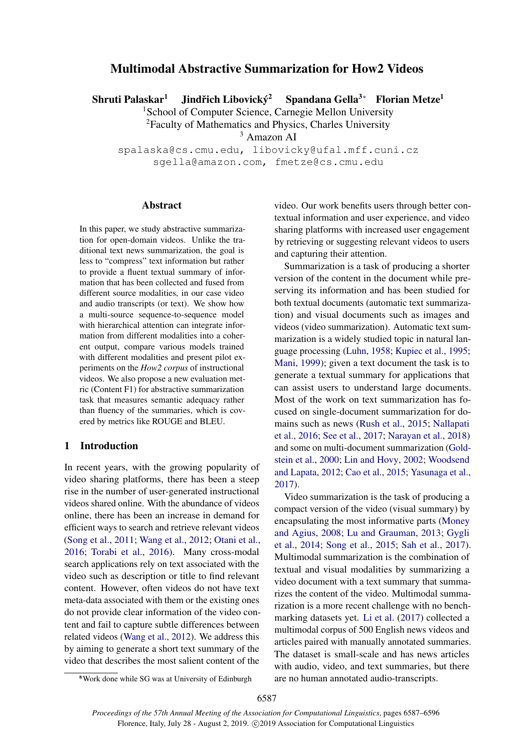# Multimodal Abstractive Summarization for How2 Videos

Shruti Palaskar<sup>1</sup> Jindřich Libovický<sup>2</sup> <sup>2</sup> Spandana Gella<sup>3</sup><sup>∗</sup> Florian Metze<sup>1</sup>

<sup>1</sup>School of Computer Science, Carnegie Mellon University

<sup>2</sup>Faculty of Mathematics and Physics, Charles University

<sup>3</sup> Amazon AI

spalaska@cs.cmu.edu, libovicky@ufal.mff.cuni.cz sgella@amazon.com, fmetze@cs.cmu.edu

#### **Abstract**

In this paper, we study abstractive summarization for open-domain videos. Unlike the traditional text news summarization, the goal is less to "compress" text information but rather to provide a fluent textual summary of information that has been collected and fused from different source modalities, in our case video and audio transcripts (or text). We show how a multi-source sequence-to-sequence model with hierarchical attention can integrate information from different modalities into a coherent output, compare various models trained with different modalities and present pilot experiments on the *How2 corpus* of instructional videos. We also propose a new evaluation metric (Content F1) for abstractive summarization task that measures semantic adequacy rather than fluency of the summaries, which is covered by metrics like ROUGE and BLEU.

## 1 Introduction

In recent years, with the growing popularity of video sharing platforms, there has been a steep rise in the number of user-generated instructional videos shared online. With the abundance of videos online, there has been an increase in demand for efficient ways to search and retrieve relevant videos [\(Song et al.,](#page-6-0) [2011;](#page-6-0) [Wang et al.,](#page-7-0) [2012;](#page-7-0) [Otani et al.,](#page-6-1) [2016;](#page-6-1) [Torabi et al.,](#page-6-2) [2016\)](#page-6-2). Many cross-modal search applications rely on text associated with the video such as description or title to find relevant content. However, often videos do not have text meta-data associated with them or the existing ones do not provide clear information of the video content and fail to capture subtle differences between related videos [\(Wang et al.,](#page-7-0) [2012\)](#page-7-0). We address this by aiming to generate a short text summary of the video that describes the most salient content of the

video. Our work benefits users through better contextual information and user experience, and video sharing platforms with increased user engagement by retrieving or suggesting relevant videos to users and capturing their attention.

Summarization is a task of producing a shorter version of the content in the document while preserving its information and has been studied for both textual documents (automatic text summarization) and visual documents such as images and videos (video summarization). Automatic text summarization is a widely studied topic in natural language processing [\(Luhn,](#page-5-0) [1958;](#page-5-0) [Kupiec et al.,](#page-5-1) [1995;](#page-5-1) [Mani,](#page-5-2) [1999\)](#page-5-2); given a text document the task is to generate a textual summary for applications that can assist users to understand large documents. Most of the work on text summarization has focused on single-document summarization for domains such as news [\(Rush et al.,](#page-6-3) [2015;](#page-6-3) [Nallapati](#page-6-4) [et al.,](#page-6-4) [2016;](#page-6-4) [See et al.,](#page-6-5) [2017;](#page-6-5) [Narayan et al.,](#page-6-6) [2018\)](#page-6-6) and some on multi-document summarization [\(Gold](#page-5-3)[stein et al.,](#page-5-3) [2000;](#page-5-3) [Lin and Hovy,](#page-5-4) [2002;](#page-5-4) [Woodsend](#page-7-1) [and Lapata,](#page-7-1) [2012;](#page-7-1) [Cao et al.,](#page-5-5) [2015;](#page-5-5) [Yasunaga et al.,](#page-7-2) [2017\)](#page-7-2).

Video summarization is the task of producing a compact version of the video (visual summary) by encapsulating the most informative parts [\(Money](#page-6-7) [and Agius,](#page-6-7) [2008;](#page-6-7) [Lu and Grauman,](#page-5-6) [2013;](#page-5-6) [Gygli](#page-5-7) [et al.,](#page-5-7) [2014;](#page-5-7) [Song et al.,](#page-6-8) [2015;](#page-6-8) [Sah et al.,](#page-6-9) [2017\)](#page-6-9). Multimodal summarization is the combination of textual and visual modalities by summarizing a video document with a text summary that summarizes the content of the video. Multimodal summarization is a more recent challenge with no benchmarking datasets yet. [Li et al.](#page-5-8) [\(2017\)](#page-5-8) collected a multimodal corpus of 500 English news videos and articles paired with manually annotated summaries. The dataset is small-scale and has news articles with audio, video, and text summaries, but there are no human annotated audio-transcripts.

<sup>∗</sup> \*Work done while SG was at University of Edinburgh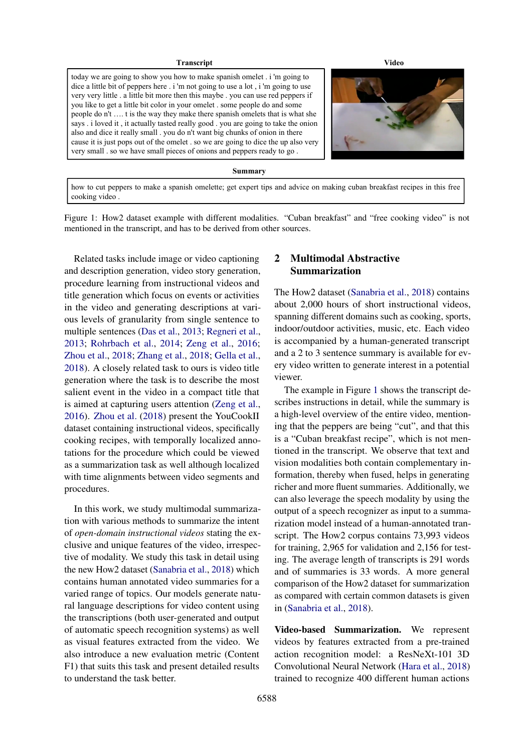#### **Transcript Video**

<span id="page-1-0"></span>today we are going to show you how to make spanish omelet . i 'm going to dice a little bit of peppers here . i 'm not going to use a lot , i 'm going to use very very little . a little bit more then this maybe . you can use red peppers if you like to get a little bit color in your omelet . some people do and some people do n't …. t is the way they make there spanish omelets that is what she says . i loved it , it actually tasted really good . you are going to take the onion also and dice it really small . you do n't want big chunks of onion in there cause it is just pops out of the omelet . so we are going to dice the up also very very small . so we have small pieces of onions and peppers ready to go .



#### **Summary**

how to cut peppers to make a spanish omelette; get expert tips and advice on making cuban breakfast recipes in this free cooking video .

Figure 1: How2 dataset example with different modalities. "Cuban breakfast" and "free cooking video" is not mentioned in the transcript, and has to be derived from other sources.

Related tasks include image or video captioning and description generation, video story generation, procedure learning from instructional videos and title generation which focus on events or activities in the video and generating descriptions at various levels of granularity from single sentence to multiple sentences [\(Das et al.,](#page-5-9) [2013;](#page-5-9) [Regneri et al.,](#page-6-10) [2013;](#page-6-10) [Rohrbach et al.,](#page-6-11) [2014;](#page-6-11) [Zeng et al.,](#page-7-3) [2016;](#page-7-3) [Zhou et al.,](#page-7-4) [2018;](#page-7-4) [Zhang et al.,](#page-7-5) [2018;](#page-7-5) [Gella et al.,](#page-5-10) [2018\)](#page-5-10). A closely related task to ours is video title generation where the task is to describe the most salient event in the video in a compact title that is aimed at capturing users attention [\(Zeng et al.,](#page-7-3) [2016\)](#page-7-3). [Zhou et al.](#page-7-4) [\(2018\)](#page-7-4) present the YouCookII dataset containing instructional videos, specifically cooking recipes, with temporally localized annotations for the procedure which could be viewed as a summarization task as well although localized with time alignments between video segments and procedures.

In this work, we study multimodal summarization with various methods to summarize the intent of *open-domain instructional videos* stating the exclusive and unique features of the video, irrespective of modality. We study this task in detail using the new How2 dataset [\(Sanabria et al.,](#page-6-12) [2018\)](#page-6-12) which contains human annotated video summaries for a varied range of topics. Our models generate natural language descriptions for video content using the transcriptions (both user-generated and output of automatic speech recognition systems) as well as visual features extracted from the video. We also introduce a new evaluation metric (Content F1) that suits this task and present detailed results to understand the task better.

## 2 Multimodal Abstractive Summarization

The How2 dataset [\(Sanabria et al.,](#page-6-12) [2018\)](#page-6-12) contains about 2,000 hours of short instructional videos, spanning different domains such as cooking, sports, indoor/outdoor activities, music, etc. Each video is accompanied by a human-generated transcript and a 2 to 3 sentence summary is available for every video written to generate interest in a potential viewer.

The example in Figure [1](#page-1-0) shows the transcript describes instructions in detail, while the summary is a high-level overview of the entire video, mentioning that the peppers are being "cut", and that this is a "Cuban breakfast recipe", which is not mentioned in the transcript. We observe that text and vision modalities both contain complementary information, thereby when fused, helps in generating richer and more fluent summaries. Additionally, we can also leverage the speech modality by using the output of a speech recognizer as input to a summarization model instead of a human-annotated transcript. The How2 corpus contains 73,993 videos for training, 2,965 for validation and 2,156 for testing. The average length of transcripts is 291 words and of summaries is 33 words. A more general comparison of the How2 dataset for summarization as compared with certain common datasets is given in [\(Sanabria et al.,](#page-6-12) [2018\)](#page-6-12).

Video-based Summarization. We represent videos by features extracted from a pre-trained action recognition model: a ResNeXt-101 3D Convolutional Neural Network [\(Hara et al.,](#page-5-11) [2018\)](#page-5-11) trained to recognize 400 different human actions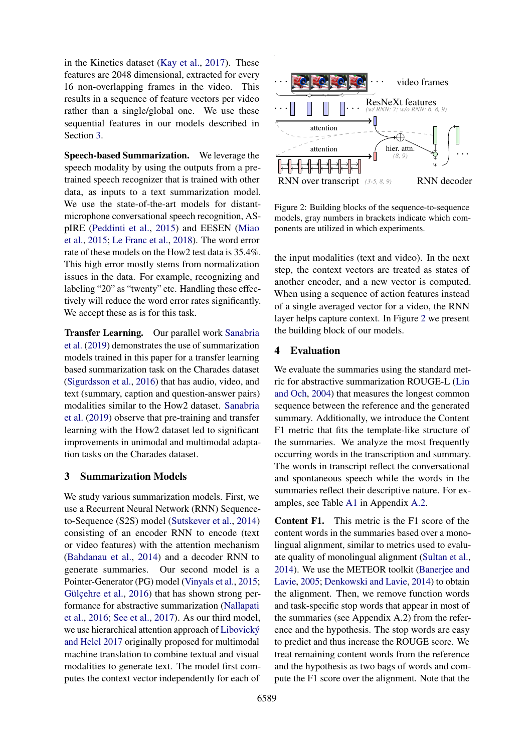in the Kinetics dataset [\(Kay et al.,](#page-5-12) [2017\)](#page-5-12). These features are 2048 dimensional, extracted for every 16 non-overlapping frames in the video. This results in a sequence of feature vectors per video rather than a single/global one. We use these sequential features in our models described in Section [3.](#page-2-0)

Speech-based Summarization. We leverage the speech modality by using the outputs from a pretrained speech recognizer that is trained with other data, as inputs to a text summarization model. We use the state-of-the-art models for distantmicrophone conversational speech recognition, ASpIRE [\(Peddinti et al.,](#page-6-13) [2015\)](#page-6-13) and EESEN [\(Miao](#page-5-13) [et al.,](#page-5-13) [2015;](#page-5-13) [Le Franc et al.,](#page-5-14) [2018\)](#page-5-14). The word error rate of these models on the How2 test data is 35.4%. This high error mostly stems from normalization issues in the data. For example, recognizing and labeling "20" as "twenty" etc. Handling these effectively will reduce the word error rates significantly. We accept these as is for this task.

Transfer Learning. Our parallel work [Sanabria](#page-6-14) [et al.](#page-6-14) [\(2019\)](#page-6-14) demonstrates the use of summarization models trained in this paper for a transfer learning based summarization task on the Charades dataset [\(Sigurdsson et al.,](#page-6-15) [2016\)](#page-6-15) that has audio, video, and text (summary, caption and question-answer pairs) modalities similar to the How2 dataset. [Sanabria](#page-6-14) [et al.](#page-6-14) [\(2019\)](#page-6-14) observe that pre-training and transfer learning with the How2 dataset led to significant improvements in unimodal and multimodal adaptation tasks on the Charades dataset.

#### <span id="page-2-0"></span>3 Summarization Models

We study various summarization models. First, we use a Recurrent Neural Network (RNN) Sequenceto-Sequence (S2S) model [\(Sutskever et al.,](#page-6-16) [2014\)](#page-6-16) consisting of an encoder RNN to encode (text or video features) with the attention mechanism [\(Bahdanau et al.,](#page-4-0) [2014\)](#page-4-0) and a decoder RNN to generate summaries. Our second model is a Pointer-Generator (PG) model [\(Vinyals et al.,](#page-6-17) [2015;](#page-6-17) [Gülçehre et al.,](#page-5-15) [2016\)](#page-5-15) that has shown strong performance for abstractive summarization [\(Nallapati](#page-6-4) [et al.,](#page-6-4) [2016;](#page-6-4) [See et al.,](#page-6-5) [2017\)](#page-6-5). As our third model, we use hierarchical attention approach of [Libovický](#page-5-16) [and Helcl](#page-5-16) [2017](#page-5-16) originally proposed for multimodal machine translation to combine textual and visual modalities to generate text. The model first computes the context vector independently for each of

<span id="page-2-1"></span>

Figure 2: Building blocks of the sequence-to-sequence models, gray numbers in brackets indicate which components are utilized in which experiments.

the input modalities (text and video). In the next step, the context vectors are treated as states of another encoder, and a new vector is computed. When using a sequence of action features instead of a single averaged vector for a video, the RNN layer helps capture context. In Figure [2](#page-2-1) we present the building block of our models.

#### 4 Evaluation

We evaluate the summaries using the standard metric for abstractive summarization ROUGE-L [\(Lin](#page-5-17) [and Och,](#page-5-17) [2004\)](#page-5-17) that measures the longest common sequence between the reference and the generated summary. Additionally, we introduce the Content F1 metric that fits the template-like structure of the summaries. We analyze the most frequently occurring words in the transcription and summary. The words in transcript reflect the conversational and spontaneous speech while the words in the summaries reflect their descriptive nature. For examples, see Table [A1](#page-7-6) in Appendix [A.2.](#page-7-7)

Content F1. This metric is the F1 score of the content words in the summaries based over a monolingual alignment, similar to metrics used to evaluate quality of monolingual alignment [\(Sultan et al.,](#page-6-18) [2014\)](#page-6-18). We use the METEOR toolkit [\(Banerjee and](#page-4-1) [Lavie,](#page-4-1) [2005;](#page-4-1) [Denkowski and Lavie,](#page-5-18) [2014\)](#page-5-18) to obtain the alignment. Then, we remove function words and task-specific stop words that appear in most of the summaries (see Appendix A.2) from the reference and the hypothesis. The stop words are easy to predict and thus increase the ROUGE score. We treat remaining content words from the reference and the hypothesis as two bags of words and compute the F1 score over the alignment. Note that the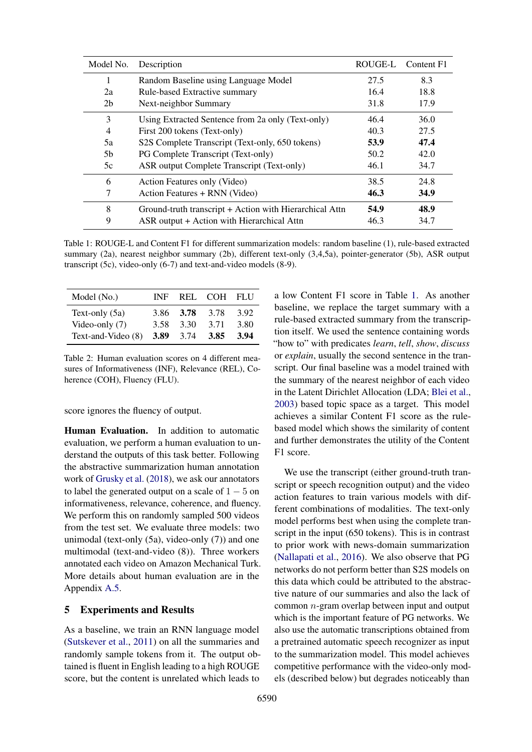<span id="page-3-0"></span>

| Model No.      | Description                                             | ROUGE-L | Content F1 |
|----------------|---------------------------------------------------------|---------|------------|
|                | Random Baseline using Language Model                    | 27.5    | 8.3        |
| 2a             | Rule-based Extractive summary                           | 16.4    | 18.8       |
| 2 <sub>b</sub> | Next-neighbor Summary                                   | 31.8    | 17.9       |
| 3              | Using Extracted Sentence from 2a only (Text-only)       | 46.4    | 36.0       |
| $\overline{4}$ | First 200 tokens (Text-only)                            | 40.3    | 27.5       |
| 5a             | S2S Complete Transcript (Text-only, 650 tokens)         | 53.9    | 47.4       |
| 5 <sub>b</sub> | PG Complete Transcript (Text-only)                      | 50.2    | 42.0       |
| 5c             | ASR output Complete Transcript (Text-only)              | 46.1    | 34.7       |
| 6              | Action Features only (Video)                            | 38.5    | 24.8       |
| 7              | Action Features + RNN (Video)                           | 46.3    | 34.9       |
| 8              | Ground-truth transcript + Action with Hierarchical Attn | 54.9    | 48.9       |
| 9              | ASR output + Action with Hierarchical Attn              | 46.3    | 34.7       |

Table 1: ROUGE-L and Content F1 for different summarization models: random baseline (1), rule-based extracted summary (2a), nearest neighbor summary (2b), different text-only (3,4,5a), pointer-generator (5b), ASR output transcript (5c), video-only (6-7) and text-and-video models (8-9).

<span id="page-3-1"></span>

| Model (No.)        | INF  |             | REL COH FLU |      |
|--------------------|------|-------------|-------------|------|
| Text-only (5a)     |      | 3.86 3.78   | 3.78        | 3.92 |
| Video-only $(7)$   | 3.58 | 3.30        | 3.71        | 3.80 |
| Text-and-Video (8) |      | 3.89 $3.74$ | 3.85        | 3.94 |

Table 2: Human evaluation scores on 4 different measures of Informativeness (INF), Relevance (REL), Coherence (COH), Fluency (FLU).

score ignores the fluency of output.

Human Evaluation. In addition to automatic evaluation, we perform a human evaluation to understand the outputs of this task better. Following the abstractive summarization human annotation work of [Grusky et al.](#page-5-19) [\(2018\)](#page-5-19), we ask our annotators to label the generated output on a scale of  $1 - 5$  on informativeness, relevance, coherence, and fluency. We perform this on randomly sampled 500 videos from the test set. We evaluate three models: two unimodal (text-only (5a), video-only (7)) and one multimodal (text-and-video (8)). Three workers annotated each video on Amazon Mechanical Turk. More details about human evaluation are in the Appendix [A.5.](#page-9-0)

### 5 Experiments and Results

As a baseline, we train an RNN language model [\(Sutskever et al.,](#page-6-19) [2011\)](#page-6-19) on all the summaries and randomly sample tokens from it. The output obtained is fluent in English leading to a high ROUGE score, but the content is unrelated which leads to

a low Content F1 score in Table [1.](#page-3-0) As another baseline, we replace the target summary with a rule-based extracted summary from the transcription itself. We used the sentence containing words "how to" with predicates *learn*, *tell*, *show*, *discuss* or *explain*, usually the second sentence in the transcript. Our final baseline was a model trained with the summary of the nearest neighbor of each video in the Latent Dirichlet Allocation (LDA; [Blei et al.,](#page-4-2) [2003\)](#page-4-2) based topic space as a target. This model achieves a similar Content F1 score as the rulebased model which shows the similarity of content and further demonstrates the utility of the Content F1 score.

We use the transcript (either ground-truth transcript or speech recognition output) and the video action features to train various models with different combinations of modalities. The text-only model performs best when using the complete transcript in the input (650 tokens). This is in contrast to prior work with news-domain summarization [\(Nallapati et al.,](#page-6-4) [2016\)](#page-6-4). We also observe that PG networks do not perform better than S2S models on this data which could be attributed to the abstractive nature of our summaries and also the lack of common n-gram overlap between input and output which is the important feature of PG networks. We also use the automatic transcriptions obtained from a pretrained automatic speech recognizer as input to the summarization model. This model achieves competitive performance with the video-only models (described below) but degrades noticeably than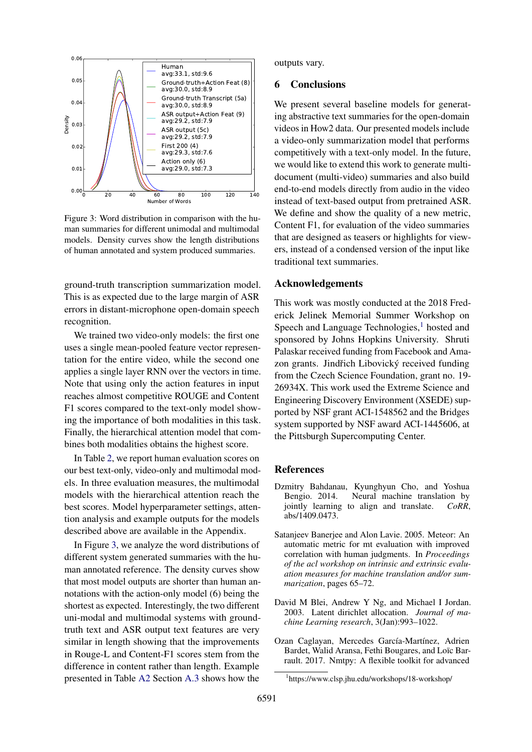<span id="page-4-3"></span>

Figure 3: Word distribution in comparison with the human summaries for different unimodal and multimodal models. Density curves show the length distributions of human annotated and system produced summaries.

ground-truth transcription summarization model. This is as expected due to the large margin of ASR errors in distant-microphone open-domain speech recognition.

We trained two video-only models: the first one uses a single mean-pooled feature vector representation for the entire video, while the second one applies a single layer RNN over the vectors in time. Note that using only the action features in input reaches almost competitive ROUGE and Content F1 scores compared to the text-only model showing the importance of both modalities in this task. Finally, the hierarchical attention model that combines both modalities obtains the highest score.

In Table [2,](#page-3-1) we report human evaluation scores on our best text-only, video-only and multimodal models. In three evaluation measures, the multimodal models with the hierarchical attention reach the best scores. Model hyperparameter settings, attention analysis and example outputs for the models described above are available in the Appendix.

In Figure [3,](#page-4-3) we analyze the word distributions of different system generated summaries with the human annotated reference. The density curves show that most model outputs are shorter than human annotations with the action-only model (6) being the shortest as expected. Interestingly, the two different uni-modal and multimodal systems with groundtruth text and ASR output text features are very similar in length showing that the improvements in Rouge-L and Content-F1 scores stem from the difference in content rather than length. Example presented in Table [A2](#page-8-0) Section [A.3](#page-7-8) shows how the

outputs vary.

#### 6 Conclusions

We present several baseline models for generating abstractive text summaries for the open-domain videos in How2 data. Our presented models include a video-only summarization model that performs competitively with a text-only model. In the future, we would like to extend this work to generate multidocument (multi-video) summaries and also build end-to-end models directly from audio in the video instead of text-based output from pretrained ASR. We define and show the quality of a new metric, Content F1, for evaluation of the video summaries that are designed as teasers or highlights for viewers, instead of a condensed version of the input like traditional text summaries.

#### Acknowledgements

This work was mostly conducted at the 2018 Frederick Jelinek Memorial Summer Workshop on Speech and Language Technologies, $<sup>1</sup>$  $<sup>1</sup>$  $<sup>1</sup>$  hosted and</sup> sponsored by Johns Hopkins University. Shruti Palaskar received funding from Facebook and Amazon grants. Jindřich Libovický received funding from the Czech Science Foundation, grant no. 19- 26934X. This work used the Extreme Science and Engineering Discovery Environment (XSEDE) supported by NSF grant ACI-1548562 and the Bridges system supported by NSF award ACI-1445606, at the Pittsburgh Supercomputing Center.

#### References

- <span id="page-4-0"></span>Dzmitry Bahdanau, Kyunghyun Cho, and Yoshua Bengio. 2014. Neural machine translation by jointly learning to align and translate. *CoRR*, abs/1409.0473.
- <span id="page-4-1"></span>Satanjeev Banerjee and Alon Lavie. 2005. Meteor: An automatic metric for mt evaluation with improved correlation with human judgments. In *Proceedings of the acl workshop on intrinsic and extrinsic evaluation measures for machine translation and/or summarization*, pages 65–72.
- <span id="page-4-2"></span>David M Blei, Andrew Y Ng, and Michael I Jordan. 2003. Latent dirichlet allocation. *Journal of machine Learning research*, 3(Jan):993–1022.
- <span id="page-4-5"></span>Ozan Caglayan, Mercedes García-Martínez, Adrien Bardet, Walid Aransa, Fethi Bougares, and Loïc Barrault. 2017. Nmtpy: A flexible toolkit for advanced

<span id="page-4-4"></span><sup>1</sup> https://www.clsp.jhu.edu/workshops/18-workshop/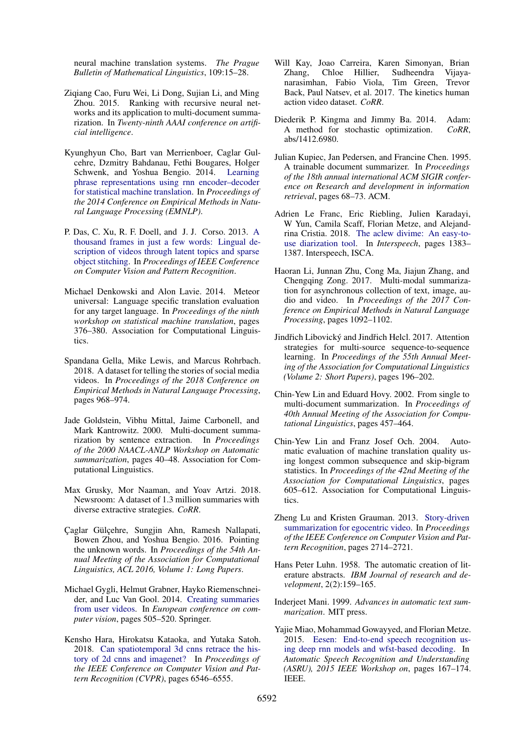neural machine translation systems. *The Prague Bulletin of Mathematical Linguistics*, 109:15–28.

- <span id="page-5-5"></span>Ziqiang Cao, Furu Wei, Li Dong, Sujian Li, and Ming Zhou. 2015. Ranking with recursive neural networks and its application to multi-document summarization. In *Twenty-ninth AAAI conference on artificial intelligence*.
- <span id="page-5-20"></span>Kyunghyun Cho, Bart van Merrienboer, Caglar Gulcehre, Dzmitry Bahdanau, Fethi Bougares, Holger Schwenk, and Yoshua Bengio. 2014. [Learning](https://doi.org/10.3115/v1/d14-1179) [phrase representations using rnn encoder–decoder](https://doi.org/10.3115/v1/d14-1179) [for statistical machine translation.](https://doi.org/10.3115/v1/d14-1179) In *Proceedings of the 2014 Conference on Empirical Methods in Natural Language Processing (EMNLP)*.
- <span id="page-5-9"></span>P. Das, C. Xu, R. F. Doell, and J. J. Corso. 2013. [A](https://doi.org/10.1109/cvpr.2013.340) [thousand frames in just a few words: Lingual de](https://doi.org/10.1109/cvpr.2013.340)[scription of videos through latent topics and sparse](https://doi.org/10.1109/cvpr.2013.340) [object stitching.](https://doi.org/10.1109/cvpr.2013.340) In *Proceedings of IEEE Conference on Computer Vision and Pattern Recognition*.
- <span id="page-5-18"></span>Michael Denkowski and Alon Lavie. 2014. Meteor universal: Language specific translation evaluation for any target language. In *Proceedings of the ninth workshop on statistical machine translation*, pages 376–380. Association for Computational Linguistics.
- <span id="page-5-10"></span>Spandana Gella, Mike Lewis, and Marcus Rohrbach. 2018. A dataset for telling the stories of social media videos. In *Proceedings of the 2018 Conference on Empirical Methods in Natural Language Processing*, pages 968–974.
- <span id="page-5-3"></span>Jade Goldstein, Vibhu Mittal, Jaime Carbonell, and Mark Kantrowitz. 2000. Multi-document summarization by sentence extraction. In *Proceedings of the 2000 NAACL-ANLP Workshop on Automatic summarization*, pages 40–48. Association for Computational Linguistics.
- <span id="page-5-19"></span>Max Grusky, Mor Naaman, and Yoav Artzi. 2018. Newsroom: A dataset of 1.3 million summaries with diverse extractive strategies. *CoRR*.
- <span id="page-5-15"></span>Çaglar Gülçehre, Sungjin Ahn, Ramesh Nallapati, Bowen Zhou, and Yoshua Bengio. 2016. Pointing the unknown words. In *Proceedings of the 54th Annual Meeting of the Association for Computational Linguistics, ACL 2016, Volume 1: Long Papers*.
- <span id="page-5-7"></span>Michael Gygli, Helmut Grabner, Hayko Riemenschneider, and Luc Van Gool. 2014. [Creating summaries](https://doi.org/10.1007/978-3-319-10584-0_33) [from user videos.](https://doi.org/10.1007/978-3-319-10584-0_33) In *European conference on computer vision*, pages 505–520. Springer.
- <span id="page-5-11"></span>Kensho Hara, Hirokatsu Kataoka, and Yutaka Satoh. 2018. [Can spatiotemporal 3d cnns retrace the his](https://doi.org/10.1109/cvpr.2018.00685)[tory of 2d cnns and imagenet?](https://doi.org/10.1109/cvpr.2018.00685) In *Proceedings of the IEEE Conference on Computer Vision and Pattern Recognition (CVPR)*, pages 6546–6555.
- <span id="page-5-12"></span>Will Kay, Joao Carreira, Karen Simonyan, Brian Zhang, Chloe Hillier, Sudheendra Vijayanarasimhan, Fabio Viola, Tim Green, Trevor Back, Paul Natsev, et al. 2017. The kinetics human action video dataset. *CoRR*.
- <span id="page-5-21"></span>Diederik P. Kingma and Jimmy Ba. 2014. Adam: A method for stochastic optimization. *CoRR*, abs/1412.6980.
- <span id="page-5-1"></span>Julian Kupiec, Jan Pedersen, and Francine Chen. 1995. A trainable document summarizer. In *Proceedings of the 18th annual international ACM SIGIR conference on Research and development in information retrieval*, pages 68–73. ACM.
- <span id="page-5-14"></span>Adrien Le Franc, Eric Riebling, Julien Karadayi, W Yun, Camila Scaff, Florian Metze, and Alejandrina Cristia. 2018. [The aclew divime: An easy-to](https://doi.org/10.21437/interspeech.2018-2324)[use diarization tool.](https://doi.org/10.21437/interspeech.2018-2324) In *Interspeech*, pages 1383– 1387. Interspeech, ISCA.
- <span id="page-5-8"></span>Haoran Li, Junnan Zhu, Cong Ma, Jiajun Zhang, and Chengqing Zong. 2017. Multi-modal summarization for asynchronous collection of text, image, audio and video. In *Proceedings of the 2017 Conference on Empirical Methods in Natural Language Processing*, pages 1092–1102.
- <span id="page-5-16"></span>Jindřich Libovický and Jindřich Helcl. 2017. Attention strategies for multi-source sequence-to-sequence learning. In *Proceedings of the 55th Annual Meeting of the Association for Computational Linguistics (Volume 2: Short Papers)*, pages 196–202.
- <span id="page-5-4"></span>Chin-Yew Lin and Eduard Hovy. 2002. From single to multi-document summarization. In *Proceedings of 40th Annual Meeting of the Association for Computational Linguistics*, pages 457–464.
- <span id="page-5-17"></span>Chin-Yew Lin and Franz Josef Och. 2004. Automatic evaluation of machine translation quality using longest common subsequence and skip-bigram statistics. In *Proceedings of the 42nd Meeting of the Association for Computational Linguistics*, pages 605–612. Association for Computational Linguistics.
- <span id="page-5-6"></span>Zheng Lu and Kristen Grauman. 2013. [Story-driven](https://doi.org/10.1109/cvpr.2013.350) [summarization for egocentric video.](https://doi.org/10.1109/cvpr.2013.350) In *Proceedings of the IEEE Conference on Computer Vision and Pattern Recognition*, pages 2714–2721.
- <span id="page-5-0"></span>Hans Peter Luhn. 1958. The automatic creation of literature abstracts. *IBM Journal of research and development*, 2(2):159–165.
- <span id="page-5-2"></span>Inderjeet Mani. 1999. *Advances in automatic text summarization*. MIT press.
- <span id="page-5-13"></span>Yajie Miao, Mohammad Gowayyed, and Florian Metze. 2015. [Eesen: End-to-end speech recognition us](https://doi.org/10.1109/asru.2015.7404790)[ing deep rnn models and wfst-based decoding.](https://doi.org/10.1109/asru.2015.7404790) In *Automatic Speech Recognition and Understanding (ASRU), 2015 IEEE Workshop on*, pages 167–174. IEEE.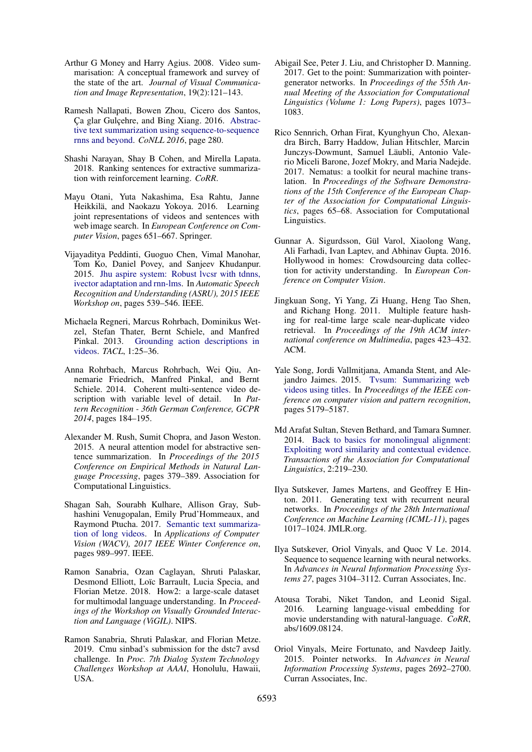- <span id="page-6-7"></span>Arthur G Money and Harry Agius. 2008. Video summarisation: A conceptual framework and survey of the state of the art. *Journal of Visual Communication and Image Representation*, 19(2):121–143.
- <span id="page-6-4"></span>Ramesh Nallapati, Bowen Zhou, Cicero dos Santos, Ça glar Gulçehre, and Bing Xiang. 2016. [Abstrac](https://doi.org/10.18653/v1/k16-1028)[tive text summarization using sequence-to-sequence](https://doi.org/10.18653/v1/k16-1028) [rnns and beyond.](https://doi.org/10.18653/v1/k16-1028) *CoNLL 2016*, page 280.
- <span id="page-6-6"></span>Shashi Narayan, Shay B Cohen, and Mirella Lapata. 2018. Ranking sentences for extractive summarization with reinforcement learning. *CoRR*.
- <span id="page-6-1"></span>Mayu Otani, Yuta Nakashima, Esa Rahtu, Janne Heikkilä, and Naokazu Yokoya. 2016. Learning joint representations of videos and sentences with web image search. In *European Conference on Computer Vision*, pages 651–667. Springer.
- <span id="page-6-13"></span>Vijayaditya Peddinti, Guoguo Chen, Vimal Manohar, Tom Ko, Daniel Povey, and Sanjeev Khudanpur. 2015. [Jhu aspire system: Robust lvcsr with tdnns,](https://doi.org/10.1109/asru.2015.7404842) [ivector adaptation and rnn-lms.](https://doi.org/10.1109/asru.2015.7404842) In *Automatic Speech Recognition and Understanding (ASRU), 2015 IEEE Workshop on*, pages 539–546. IEEE.
- <span id="page-6-10"></span>Michaela Regneri, Marcus Rohrbach, Dominikus Wetzel, Stefan Thater, Bernt Schiele, and Manfred Pinkal. 2013. [Grounding action descriptions in](https://doi.org/10.1162/tacl_a_00207) [videos.](https://doi.org/10.1162/tacl_a_00207) *TACL*, 1:25–36.
- <span id="page-6-11"></span>Anna Rohrbach, Marcus Rohrbach, Wei Qiu, Annemarie Friedrich, Manfred Pinkal, and Bernt Schiele. 2014. Coherent multi-sentence video description with variable level of detail. In *Pattern Recognition - 36th German Conference, GCPR 2014*, pages 184–195.
- <span id="page-6-3"></span>Alexander M. Rush, Sumit Chopra, and Jason Weston. 2015. A neural attention model for abstractive sentence summarization. In *Proceedings of the 2015 Conference on Empirical Methods in Natural Language Processing*, pages 379–389. Association for Computational Linguistics.
- <span id="page-6-9"></span>Shagan Sah, Sourabh Kulhare, Allison Gray, Subhashini Venugopalan, Emily Prud'Hommeaux, and Raymond Ptucha. 2017. [Semantic text summariza](https://doi.org/10.1109/wacv.2017.115)[tion of long videos.](https://doi.org/10.1109/wacv.2017.115) In *Applications of Computer Vision (WACV), 2017 IEEE Winter Conference on*, pages 989–997. IEEE.
- <span id="page-6-12"></span>Ramon Sanabria, Ozan Caglayan, Shruti Palaskar, Desmond Elliott, Loïc Barrault, Lucia Specia, and Florian Metze. 2018. How2: a large-scale dataset for multimodal language understanding. In *Proceedings of the Workshop on Visually Grounded Interaction and Language (ViGIL)*. NIPS.
- <span id="page-6-14"></span>Ramon Sanabria, Shruti Palaskar, and Florian Metze. 2019. Cmu sinbad's submission for the dstc7 avsd challenge. In *Proc. 7th Dialog System Technology Challenges Workshop at AAAI*, Honolulu, Hawaii, USA.
- <span id="page-6-5"></span>Abigail See, Peter J. Liu, and Christopher D. Manning. 2017. Get to the point: Summarization with pointergenerator networks. In *Proceedings of the 55th Annual Meeting of the Association for Computational Linguistics (Volume 1: Long Papers)*, pages 1073– 1083.
- <span id="page-6-20"></span>Rico Sennrich, Orhan Firat, Kyunghyun Cho, Alexandra Birch, Barry Haddow, Julian Hitschler, Marcin Junczys-Dowmunt, Samuel Läubli, Antonio Valerio Miceli Barone, Jozef Mokry, and Maria Nadejde. 2017. Nematus: a toolkit for neural machine translation. In *Proceedings of the Software Demonstrations of the 15th Conference of the European Chapter of the Association for Computational Linguistics*, pages 65–68. Association for Computational Linguistics.
- <span id="page-6-15"></span>Gunnar A. Sigurdsson, Gül Varol, Xiaolong Wang, Ali Farhadi, Ivan Laptev, and Abhinav Gupta. 2016. Hollywood in homes: Crowdsourcing data collection for activity understanding. In *European Conference on Computer Vision*.
- <span id="page-6-0"></span>Jingkuan Song, Yi Yang, Zi Huang, Heng Tao Shen, and Richang Hong. 2011. Multiple feature hashing for real-time large scale near-duplicate video retrieval. In *Proceedings of the 19th ACM international conference on Multimedia*, pages 423–432. ACM.
- <span id="page-6-8"></span>Yale Song, Jordi Vallmitjana, Amanda Stent, and Alejandro Jaimes. 2015. [Tvsum: Summarizing web](https://doi.org/10.1109/cvpr.2015.7299154) [videos using titles.](https://doi.org/10.1109/cvpr.2015.7299154) In *Proceedings of the IEEE conference on computer vision and pattern recognition*, pages 5179–5187.
- <span id="page-6-18"></span>Md Arafat Sultan, Steven Bethard, and Tamara Sumner. 2014. [Back to basics for monolingual alignment:](https://doi.org/10.1162/tacl_a_00178) [Exploiting word similarity and contextual evidence.](https://doi.org/10.1162/tacl_a_00178) *Transactions of the Association for Computational Linguistics*, 2:219–230.
- <span id="page-6-19"></span>Ilya Sutskever, James Martens, and Geoffrey E Hinton. 2011. Generating text with recurrent neural networks. In *Proceedings of the 28th International Conference on Machine Learning (ICML-11)*, pages 1017–1024. JMLR.org.
- <span id="page-6-16"></span>Ilya Sutskever, Oriol Vinyals, and Quoc V Le. 2014. Sequence to sequence learning with neural networks. In *Advances in Neural Information Processing Systems 27*, pages 3104–3112. Curran Associates, Inc.
- <span id="page-6-2"></span>Atousa Torabi, Niket Tandon, and Leonid Sigal. 2016. Learning language-visual embedding for movie understanding with natural-language. *CoRR*, abs/1609.08124.
- <span id="page-6-17"></span>Oriol Vinyals, Meire Fortunato, and Navdeep Jaitly. 2015. Pointer networks. In *Advances in Neural Information Processing Systems*, pages 2692–2700. Curran Associates, Inc.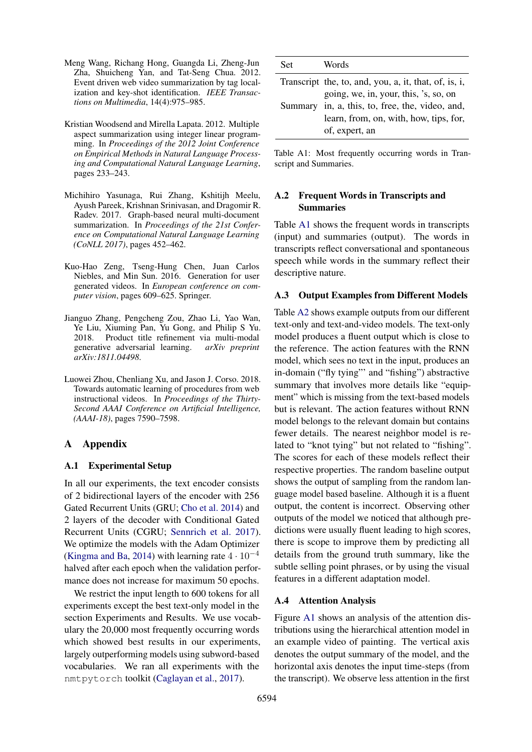- <span id="page-7-0"></span>Meng Wang, Richang Hong, Guangda Li, Zheng-Jun Zha, Shuicheng Yan, and Tat-Seng Chua. 2012. Event driven web video summarization by tag localization and key-shot identification. *IEEE Transactions on Multimedia*, 14(4):975–985.
- <span id="page-7-1"></span>Kristian Woodsend and Mirella Lapata. 2012. Multiple aspect summarization using integer linear programming. In *Proceedings of the 2012 Joint Conference on Empirical Methods in Natural Language Processing and Computational Natural Language Learning*, pages 233–243.
- <span id="page-7-2"></span>Michihiro Yasunaga, Rui Zhang, Kshitijh Meelu, Ayush Pareek, Krishnan Srinivasan, and Dragomir R. Radev. 2017. Graph-based neural multi-document summarization. In *Proceedings of the 21st Conference on Computational Natural Language Learning (CoNLL 2017)*, pages 452–462.
- <span id="page-7-3"></span>Kuo-Hao Zeng, Tseng-Hung Chen, Juan Carlos Niebles, and Min Sun. 2016. Generation for user generated videos. In *European conference on computer vision*, pages 609–625. Springer.
- <span id="page-7-5"></span>Jianguo Zhang, Pengcheng Zou, Zhao Li, Yao Wan, Ye Liu, Xiuming Pan, Yu Gong, and Philip S Yu. 2018. Product title refinement via multi-modal generative adversarial learning. *arXiv preprint arXiv:1811.04498*.
- <span id="page-7-4"></span>Luowei Zhou, Chenliang Xu, and Jason J. Corso. 2018. Towards automatic learning of procedures from web instructional videos. In *Proceedings of the Thirty-Second AAAI Conference on Artificial Intelligence, (AAAI-18)*, pages 7590–7598.

## A Appendix

#### A.1 Experimental Setup

In all our experiments, the text encoder consists of 2 bidirectional layers of the encoder with 256 Gated Recurrent Units (GRU; [Cho et al.](#page-5-20) [2014\)](#page-5-20) and 2 layers of the decoder with Conditional Gated Recurrent Units (CGRU; [Sennrich et al.](#page-6-20) [2017\)](#page-6-20). We optimize the models with the Adam Optimizer [\(Kingma and Ba,](#page-5-21) [2014\)](#page-5-21) with learning rate  $4 \cdot 10^{-4}$ halved after each epoch when the validation performance does not increase for maximum 50 epochs.

We restrict the input length to 600 tokens for all experiments except the best text-only model in the section Experiments and Results. We use vocabulary the 20,000 most frequently occurring words which showed best results in our experiments, largely outperforming models using subword-based vocabularies. We ran all experiments with the nmtpytorch toolkit [\(Caglayan et al.,](#page-4-5) [2017\)](#page-4-5).

<span id="page-7-6"></span>

| Set | Words                                                                                                       |
|-----|-------------------------------------------------------------------------------------------------------------|
|     | Transcript the, to, and, you, a, it, that, of, is, i,<br>going, we, in, your, this, 's, so, on              |
|     | Summary in, a, this, to, free, the, video, and,<br>learn, from, on, with, how, tips, for,<br>of, expert, an |

Table A1: Most frequently occurring words in Transcript and Summaries.

### <span id="page-7-7"></span>A.2 Frequent Words in Transcripts and Summaries

Table [A1](#page-7-6) shows the frequent words in transcripts (input) and summaries (output). The words in transcripts reflect conversational and spontaneous speech while words in the summary reflect their descriptive nature.

#### <span id="page-7-8"></span>A.3 Output Examples from Different Models

Table [A2](#page-8-0) shows example outputs from our different text-only and text-and-video models. The text-only model produces a fluent output which is close to the reference. The action features with the RNN model, which sees no text in the input, produces an in-domain ("fly tying"' and "fishing") abstractive summary that involves more details like "equipment" which is missing from the text-based models but is relevant. The action features without RNN model belongs to the relevant domain but contains fewer details. The nearest neighbor model is related to "knot tying" but not related to "fishing". The scores for each of these models reflect their respective properties. The random baseline output shows the output of sampling from the random language model based baseline. Although it is a fluent output, the content is incorrect. Observing other outputs of the model we noticed that although predictions were usually fluent leading to high scores, there is scope to improve them by predicting all details from the ground truth summary, like the subtle selling point phrases, or by using the visual features in a different adaptation model.

#### A.4 Attention Analysis

Figure [A1](#page-8-1) shows an analysis of the attention distributions using the hierarchical attention model in an example video of painting. The vertical axis denotes the output summary of the model, and the horizontal axis denotes the input time-steps (from the transcript). We observe less attention in the first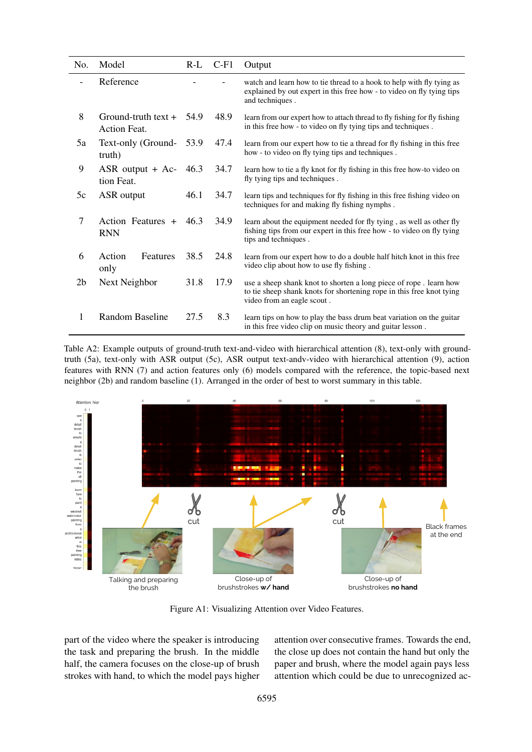<span id="page-8-0"></span>

| No.            | Model                                        | $R-L$ | $C-F1$ | Output                                                                                                                                                                  |
|----------------|----------------------------------------------|-------|--------|-------------------------------------------------------------------------------------------------------------------------------------------------------------------------|
|                | Reference                                    |       |        | watch and learn how to tie thread to a hook to help with fly tying as<br>explained by out expert in this free how - to video on fly tying tips<br>and techniques.       |
| 8              | $Ground-truth text +$<br><b>Action Feat.</b> |       | 48.9   | learn from our expert how to attach thread to fly fishing for fly fishing<br>in this free how - to video on fly tying tips and techniques.                              |
| 5a             | Text-only (Ground-<br>truth)                 |       | 47.4   | learn from our expert how to tie a thread for fly fishing in this free<br>how - to video on fly tying tips and techniques.                                              |
| 9              | $ASR$ output + $Ac-$<br>-46.3<br>tion Feat.  |       | 34.7   | learn how to tie a fly knot for fly fishing in this free how-to video on<br>fly tying tips and techniques.                                                              |
| 5c             | ASR output                                   | 46.1  | 34.7   | learn tips and techniques for fly fishing in this free fishing video on<br>techniques for and making fly fishing nymphs.                                                |
| 7              | Action Features $+$ 46.3<br><b>RNN</b>       |       | 34.9   | learn about the equipment needed for fly tying, as well as other fly<br>fishing tips from our expert in this free how - to video on fly tying<br>tips and techniques.   |
| 6              | Action<br>Features<br>only                   | 38.5  | 24.8   | learn from our expert how to do a double half hitch knot in this free<br>video clip about how to use fly fishing.                                                       |
| 2 <sub>b</sub> | Next Neighbor                                | 31.8  | 17.9   | use a sheep shank knot to shorten a long piece of rope. Learn how<br>to tie sheep shank knots for shortening rope in this free knot tying<br>video from an eagle scout. |
| 1              | Random Baseline                              | 27.5  | 8.3    | learn tips on how to play the bass drum beat variation on the guitar<br>in this free video clip on music theory and guitar lesson.                                      |

Table A2: Example outputs of ground-truth text-and-video with hierarchical attention (8), text-only with groundtruth (5a), text-only with ASR output (5c), ASR output text-andv-video with hierarchical attention (9), action features with RNN (7) and action features only (6) models compared with the reference, the topic-based next neighbor (2b) and random baseline (1). Arranged in the order of best to worst summary in this table.

<span id="page-8-1"></span>

Figure A1: Visualizing Attention over Video Features.

part of the video where the speaker is introducing the task and preparing the brush. In the middle half, the camera focuses on the close-up of brush strokes with hand, to which the model pays higher attention over consecutive frames. Towards the end, the close up does not contain the hand but only the paper and brush, where the model again pays less attention which could be due to unrecognized ac